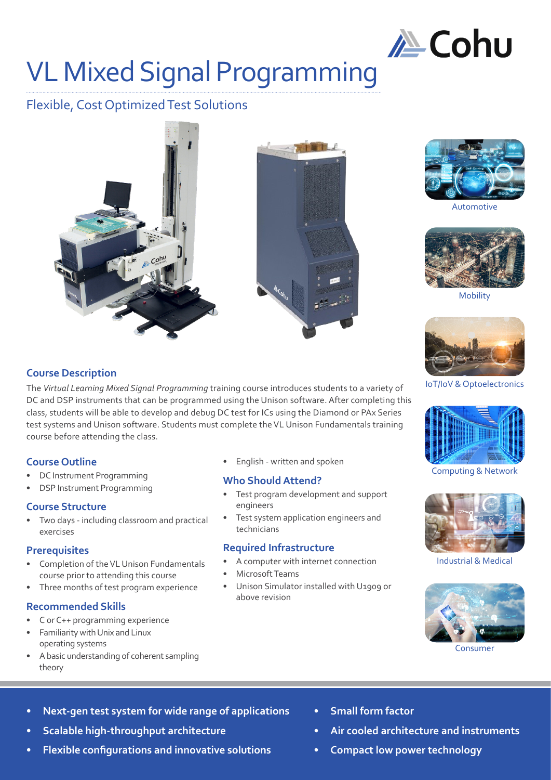

## VL Mixed Signal Programming

## Flexible, Cost Optimized Test Solutions







Automotive



Mobility



IoT/IoV & Optoelectronics



Computing & Network



Industrial & Medical



Consumer

**Course Description**

The *Virtual Learning Mixed Signal Programming* training course introduces students to a variety of DC and DSP instruments that can be programmed using the Unison software. After completing this class, students will be able to develop and debug DC test for ICs using the Diamond or PAx Series test systems and Unison software. Students must complete the VL Unison Fundamentals training course before attending the class.

## **Course Outline**

- DC Instrument Programming
- DSP Instrument Programming

### **Course Structure**

• Two days - including classroom and practical exercises

### **Prerequisites**

- Completion of the VL Unison Fundamentals course prior to attending this course
- Three months of test program experience

### **Recommended Skills**

- C or C++ programming experience
- Familiarity with Unix and Linux operating systems
- A basic understanding of coherent sampling theory

• English - written and spoken

### **Who Should Attend?**

- Test program development and support engineers
- Test system application engineers and technicians

### **Required Infrastructure**

- A computer with internet connection
- Microsoft Teams
- Unison Simulator installed with U1909 or above revision

- **• Next-gen test system for wide range of applications**
- **• Scalable high-throughput architecture**
- **• Flexible configurations and innovative solutions**
- **• Small form factor**
- **• Air cooled architecture and instruments**
- **• Compact low power technology**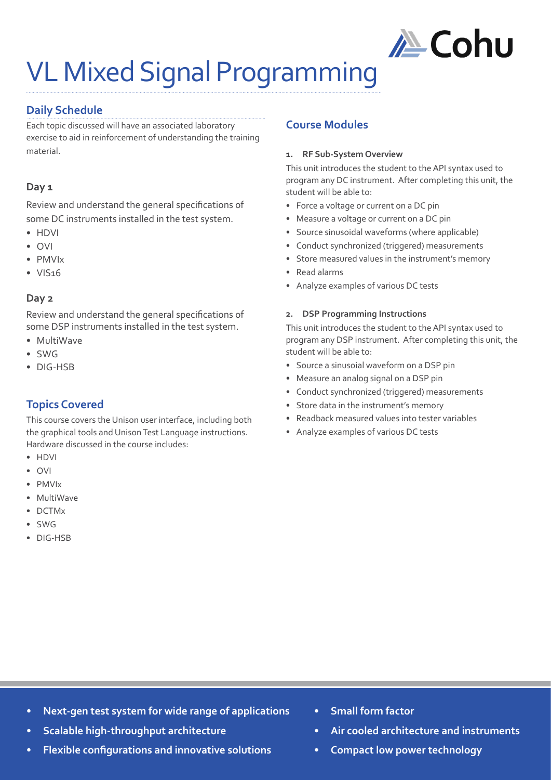

# VL Mixed Signal Programming

## **Daily Schedule**

Each topic discussed will have an associated laboratory exercise to aid in reinforcement of understanding the training material.

### **Day 1**

Review and understand the general specifications of some DC instruments installed in the test system.

- HDVI
- OVI
- PMVIx
- VIS16

### **Day 2**

Review and understand the general specifications of some DSP instruments installed in the test system.

- MultiWave
- SWG
- DIG-HSB

## **Topics Covered**

This course covers the Unison user interface, including both the graphical tools and Unison Test Language instructions. Hardware discussed in the course includes:

- HDVI
- OVI
- PMVIx
- MultiWave
- DCTMx
- SWG
- DIG-HSB

### **Course Modules**

### **1. RF Sub-System Overview**

This unit introduces the student to the API syntax used to program any DC instrument. After completing this unit, the student will be able to:

- Force a voltage or current on a DC pin
- Measure a voltage or current on a DC pin
- Source sinusoidal waveforms (where applicable)
- Conduct synchronized (triggered) measurements
- Store measured values in the instrument's memory
- Read alarms
- Analyze examples of various DC tests

#### **2. DSP Programming Instructions**

This unit introduces the student to the API syntax used to program any DSP instrument. After completing this unit, the student will be able to:

- Source a sinusoial waveform on a DSP pin
- Measure an analog signal on a DSP pin
- Conduct synchronized (triggered) measurements
- Store data in the instrument's memory
- Readback measured values into tester variables
- Analyze examples of various DC tests

- **• Next-gen test system for wide range of applications**
- **• Scalable high-throughput architecture**
- **• Flexible configurations and innovative solutions**
- **• Small form factor**
- **• Air cooled architecture and instruments**
- **• Compact low power technology**